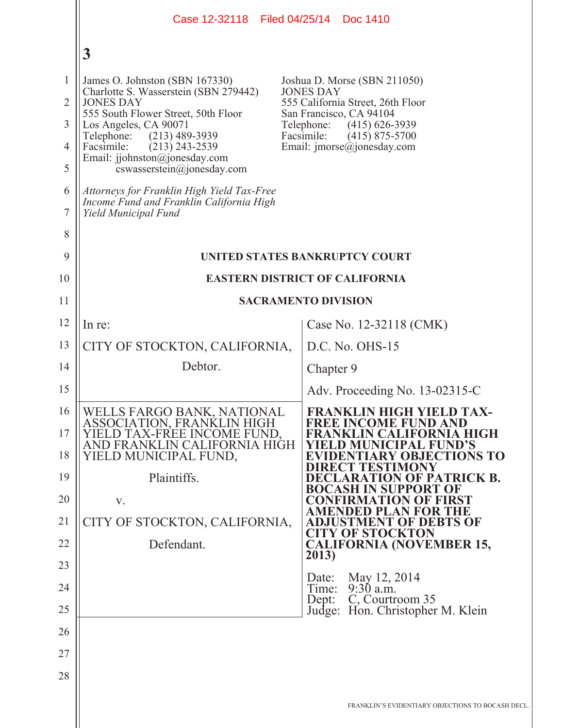|                                     | Case 12-32118 Filed 04/25/14 Doc 1410                                                                                                                                                         |                                                                                                                                                                                        |
|-------------------------------------|-----------------------------------------------------------------------------------------------------------------------------------------------------------------------------------------------|----------------------------------------------------------------------------------------------------------------------------------------------------------------------------------------|
|                                     | $\boldsymbol{3}$                                                                                                                                                                              |                                                                                                                                                                                        |
| $\mathbf{1}$<br>$\overline{2}$<br>3 | James O. Johnston (SBN 167330)<br>Charlotte S. Wasserstein (SBN 279442)<br><b>JONES DAY</b><br>555 South Flower Street, 50th Floor<br>Los Angeles, CA 90071<br>Telephone:<br>$(213)$ 489-3939 | Joshua D. Morse (SBN 211050)<br><b>JONES DAY</b><br>555 California Street, 26th Floor<br>San Francisco, CA 94104<br>Telephone:<br>$(415) 626 - 3939$<br>Facsimile:<br>$(415)$ 875-5700 |
| 4<br>5                              | Facsimile:<br>$(213)$ 243-2539<br>Email: jjohnston@jonesday.com<br>cswasserstein@jonesday.com                                                                                                 | Email: $\text{imorse}(\widehat{a})$ jonesday.com                                                                                                                                       |
| 6<br>7                              | Attorneys for Franklin High Yield Tax-Free<br>Income Fund and Franklin California High<br>Yield Municipal Fund                                                                                |                                                                                                                                                                                        |
| 8                                   |                                                                                                                                                                                               |                                                                                                                                                                                        |
| 9                                   | UNITED STATES BANKRUPTCY COURT                                                                                                                                                                |                                                                                                                                                                                        |
| 10                                  | <b>EASTERN DISTRICT OF CALIFORNIA</b>                                                                                                                                                         |                                                                                                                                                                                        |
| 11                                  | <b>SACRAMENTO DIVISION</b>                                                                                                                                                                    |                                                                                                                                                                                        |
| 12                                  | In re:                                                                                                                                                                                        | Case No. 12-32118 (CMK)                                                                                                                                                                |
| 13                                  | CITY OF STOCKTON, CALIFORNIA,                                                                                                                                                                 | D.C. No. OHS-15                                                                                                                                                                        |
| 14                                  | Debtor.                                                                                                                                                                                       | Chapter 9                                                                                                                                                                              |
| 15                                  |                                                                                                                                                                                               | Adv. Proceeding No. 13-02315-C                                                                                                                                                         |
| 16<br>17<br>18                      | WELLS FARGO BANK, NATIONAL<br>ASSOCIATION, FRANKLIN HIGH<br>YIELD TAX-FREE INCOME FUND.<br>AND FRANKLIN CALIFORNIA HIGH<br>YIELD MUNICIPAL FUND,                                              | <b>FRANKLIN HIGH YIELD TAX-</b><br><b>FREE INCOME FUND AND</b><br><b>FRANKLIN CALIFORNIA HIGH</b><br>YIELD MUNICIPAL FUND'S<br><b>EVIDENTIARY OBJECTIONS TO</b>                        |
| 19                                  | Plaintiffs.                                                                                                                                                                                   | DIRECT TESTIMONY<br><b>DECLARATION OF PATRICK B.</b><br>N SUPPORT OF<br><b>BOCASH</b>                                                                                                  |
| 20                                  | V.                                                                                                                                                                                            | <b>CONFIRMATION OF FIRST</b><br>AMENDED PLAN FOR THE                                                                                                                                   |
| 21                                  | CITY OF STOCKTON, CALIFORNIA,                                                                                                                                                                 | <b>ADJUSTMENT OF DEBTS OF</b><br><b>CITY OF STOCKTON</b>                                                                                                                               |
| 22                                  | Defendant.                                                                                                                                                                                    | <b>CALIFORNIA (NOVEMBER 15,</b><br>2013)                                                                                                                                               |
| 23                                  |                                                                                                                                                                                               | May 12, 2014<br>Date:                                                                                                                                                                  |
| 24<br>25                            |                                                                                                                                                                                               | $9:30$ a.m.<br>Time:<br>C, Courtroom 35<br>Dept:<br>Judge: Hon. Christopher M. Klein                                                                                                   |
| 26                                  |                                                                                                                                                                                               |                                                                                                                                                                                        |
| 27                                  |                                                                                                                                                                                               |                                                                                                                                                                                        |
| 28                                  |                                                                                                                                                                                               |                                                                                                                                                                                        |
|                                     |                                                                                                                                                                                               | FRANKLIN'S EVIDENTIARY OBJECTIONS TO BOCASH I                                                                                                                                          |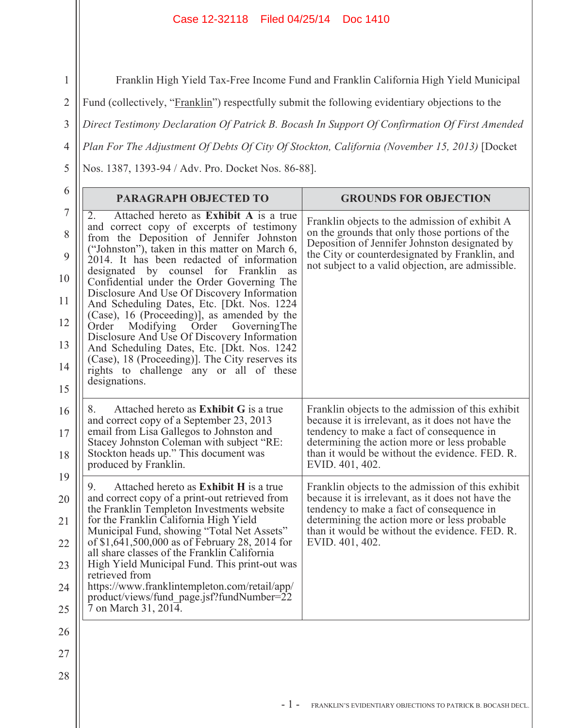## Case 12-32118 Filed 04/25/14 Doc 1410

Franklin High Yield Tax-Free Income Fund and Franklin California High Yield Municipal

Fund (collectively, "Franklin") respectfully submit the following evidentiary objections to the

3 *Direct Testimony Declaration Of Patrick B. Bocash In Support Of Confirmation Of First Amended* 

*Plan For The Adjustment Of Debts Of City Of Stockton, California (November 15, 2013)* [Docket

Nos. 1387, 1393-94 / Adv. Pro. Docket Nos. 86-88].

1

2

4

5

| 6                                                        | <b>PARAGRAPH OBJECTED TO</b>                                                                                                                                                                                                                                                                                                                                                                                                                                                                                                                                                                                                                                                                                                        | <b>GROUNDS FOR OBJECTION</b>                                                                                                                                                                                                                                             |
|----------------------------------------------------------|-------------------------------------------------------------------------------------------------------------------------------------------------------------------------------------------------------------------------------------------------------------------------------------------------------------------------------------------------------------------------------------------------------------------------------------------------------------------------------------------------------------------------------------------------------------------------------------------------------------------------------------------------------------------------------------------------------------------------------------|--------------------------------------------------------------------------------------------------------------------------------------------------------------------------------------------------------------------------------------------------------------------------|
| $\sqrt{ }$<br>8<br>9<br>10<br>11<br>12<br>13<br>14<br>15 | Attached hereto as Exhibit A is a true<br>2.<br>and correct copy of excerpts of testimony<br>from the Deposition of Jennifer Johnston<br>("Johnston"), taken in this matter on March 6,<br>2014. It has been redacted of information<br>designated by counsel for Franklin<br>as<br>Confidential under the Order Governing The<br>Disclosure And Use Of Discovery Information<br>And Scheduling Dates, Etc. [Dkt. Nos. 1224]<br>(Case), 16 (Proceeding), as amended by the<br>Modifying Order<br>Order<br>GoverningThe<br>Disclosure And Use Of Discovery Information<br>And Scheduling Dates, Etc. [Dkt. Nos. 1242]<br>(Case), 18 (Proceeding)]. The City reserves its<br>rights to challenge any or all of these<br>designations. | Franklin objects to the admission of exhibit A<br>on the grounds that only those portions of the<br>Deposition of Jennifer Johnston designated by<br>the City or counterdesignated by Franklin, and<br>not subject to a valid objection, are admissible.                 |
| 16<br>17<br>18                                           | Attached hereto as <b>Exhibit G</b> is a true<br>8.<br>and correct copy of a September 23, 2013<br>email from Lisa Gallegos to Johnston and<br>Stacey Johnston Coleman with subject "RE:<br>Stockton heads up." This document was<br>produced by Franklin.                                                                                                                                                                                                                                                                                                                                                                                                                                                                          | Franklin objects to the admission of this exhibit<br>because it is irrelevant, as it does not have the<br>tendency to make a fact of consequence in<br>determining the action more or less probable<br>than it would be without the evidence. FED. R.<br>EVID. 401, 402. |
| 19<br>20<br>21<br>22<br>23<br>24<br>25                   | Attached hereto as <b>Exhibit H</b> is a true<br>9.<br>and correct copy of a print-out retrieved from<br>the Franklin Templeton Investments website<br>for the Franklin California High Yield<br>Municipal Fund, showing "Total Net Assets"<br>of \$1,641,500,000 as of February 28, 2014 for<br>all share classes of the Franklin California<br>High Yield Municipal Fund. This print-out was<br>retrieved from<br>https://www.franklintempleton.com/retail/app/<br>product/views/fund_page.jsf?fundNumber=22<br>7 on March 31, 2014.                                                                                                                                                                                              | Franklin objects to the admission of this exhibit<br>because it is irrelevant, as it does not have the<br>tendency to make a fact of consequence in<br>determining the action more or less probable<br>than it would be without the evidence. FED. R.<br>EVID. 401, 402. |
| 26<br>27<br>28                                           |                                                                                                                                                                                                                                                                                                                                                                                                                                                                                                                                                                                                                                                                                                                                     |                                                                                                                                                                                                                                                                          |